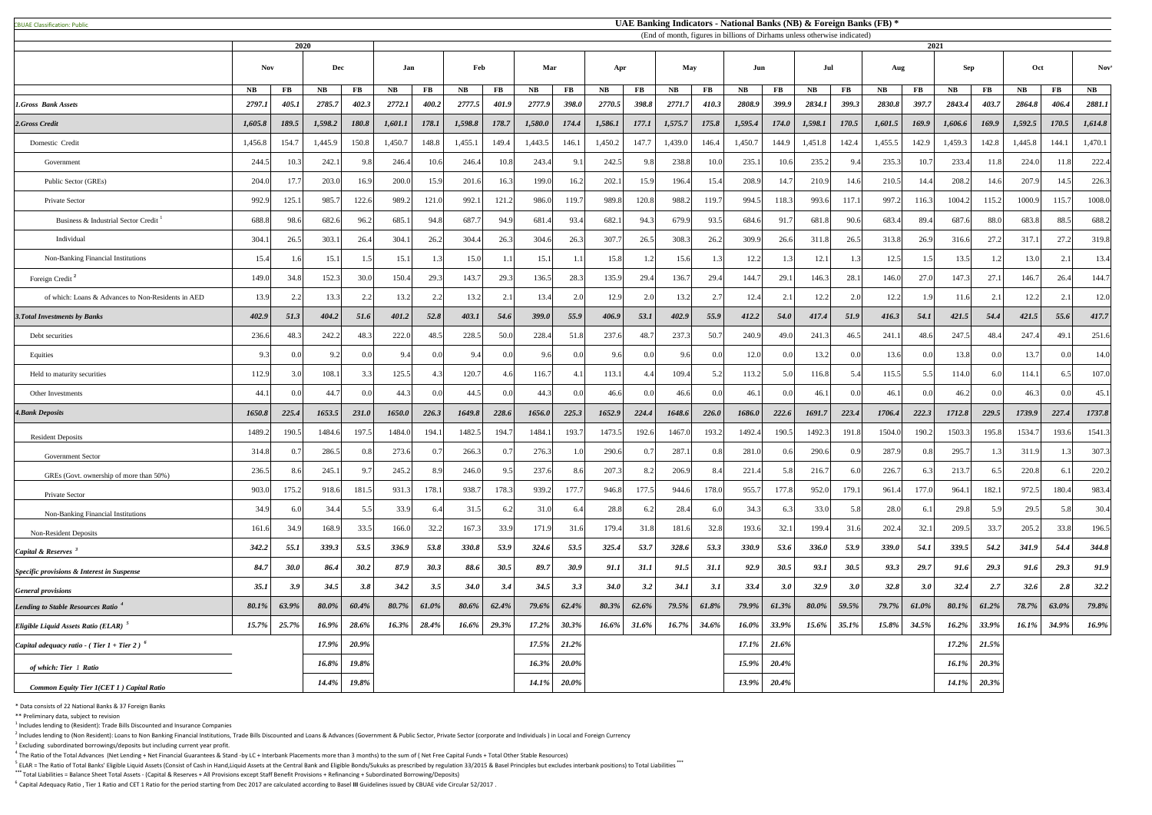CBUAE Classification: Public#

 $<sup>1</sup>$  Includes lending to (Resident): Trade Bills Discounted and Insurance Companies</sup>

 $^2$  Includes lending to (Non Resident): Loans to Non Banking Financial Institutions, Trade Bills Discounted and Loans & Advances (Government & Public Sector, Private Sector (corporate and Individuals) in Local and Foreig  $3$  Excluding subordinated borrowings/deposits but including current year profit.

 $^4$  The Ratio of the Total Advances (Net Lending + Net Financial Guarantees & Stand -by LC + Interbank Placements more than 3 months) to the sum of (Net Free Capital Funds + Total Other Stable Resources)

<sup>5</sup> ELAR = The Ratio of Total Banks' Eligible Liquid Assets (Consist of Cash in Hand,Liquid Assets at the Central Bank and Eligible Bonds/Sukuks as prescribed by regulation 33/2015 & Basel Principles but excludes interbank **\*\*\*** Total Liabilities = Balance Sheet Total Assets - (Capital & Reserves + All Provisions except Staff Benefit Provisions + Refinancing + Subordinated Borrowing/Deposits)

<sup>6</sup> Capital Adequacy Ratio, Tier 1 Ratio and CET 1 Ratio for the period starting from Dec 2017 are calculated according to Basel III Guidelines issued by CBUAE vide Circular 52/2017.

|                                                           |               |             | 2020     |          | (End of month, figures in billions of Dirhams unless otherwise indicated)<br>2021 |               |                |               |               |          |         |                            |               |                        |          |                |          |                        |               |                  |            |           |         |                |               |
|-----------------------------------------------------------|---------------|-------------|----------|----------|-----------------------------------------------------------------------------------|---------------|----------------|---------------|---------------|----------|---------|----------------------------|---------------|------------------------|----------|----------------|----------|------------------------|---------------|------------------|------------|-----------|---------|----------------|---------------|
|                                                           | <b>Nov</b>    |             | Dec      |          | Jan                                                                               |               | Feb            |               | Mar           |          | Apr     |                            | May           | Jun                    |          |                | Jul      |                        | Aug           |                  | <b>Sep</b> |           | Oct     |                | <b>Nov</b>    |
|                                                           | $N\mathbf{B}$ | $\bf FB$    | NB       | $\bf FB$ | NB                                                                                | $\mathbf{FB}$ | NB             | $\mathbf{FB}$ | $N\mathbf{B}$ | FB       | NB      | <b>FB</b>                  | $N\mathbf{B}$ | $\mathbf{F}\mathbf{B}$ | NB       | $\bf FB$       | NB       | $\mathbf{F}\mathbf{B}$ | $N\mathbf{B}$ | $\bf FB$         | NB         | <b>FB</b> | NB      | $\bf FB$       | $N\mathbf{B}$ |
| 1.Gross Bank Assets                                       | 2797.1        | 405.1       | 2785.7   | 402.3    | 2772.1                                                                            | 400.2         | 2777.5         | 401.9         | 2777.9        | 398.0    | 2770.5  | 398.8                      | 2771.7        | 410.3                  | 2808.9   | 399.9          | 2834.1   | 399.3                  | 2830.8        | 397.7            | 2843.4     | 403.7     | 2864.8  | 406.4          | 2881.1        |
| 2.Gross Credit                                            | 1,605.8       | 189.5       | 1,598.2  | 180.8    | 1,601.1                                                                           | 178.1         | 1,598.8        | 178.7         | 1,580.0       | 174.4    | 1,586.1 | 177.1                      | 1,575.7       | 175.8                  | 1,595.4  | 174.0          | 1,598.1  | 170.5                  | 1,601.5       | 169.9            | 1,606.6    | 169.9     | 1,592.5 | 170.5          | 1,614.8       |
| Domestic Credit                                           | 1,456.8       | 154.7       | 1,445.9  | 150.8    | 1,450.7                                                                           | 148.8         | 1,455.1        | 149.4         | 1,443.5       | 146.1    | 1,450.2 | 147.7                      | 1,439.0       | 146.4                  | 1,450.7  | 144.9          | 1,451.8  | 142.4                  | 1,455.5       | 142.9            | 1,459.3    | 142.8     | 1,445.8 | 144.1          | 1,470.1       |
| Government                                                | 244.5         | 10.3        | 242.1    | 9.8      | 246.4                                                                             | 10.6          | 246.4          | 10.8          | 243.4         | 9.1      | 242.5   | 9.8                        | 238.8         | 10.0                   | 235.     | 10.6           | 235.2    | 9.4                    | 235.          | 10.7             | 233.4      | 11.8      | 224.0   | 11.8           | 222.4         |
| Public Sector (GREs)                                      | 204.0         | 17.7        | 203.0    | 16.9     | 200.0                                                                             | 15.9          | 201.6          | 16.3          | 199.0         | 16.2     | 202.1   | 15.9                       | 196.4         | 15.4                   | 208.9    | 14.7           | 210.9    | 14.6                   | 210.5         | 14.4             | 208.2      | 14.6      | 207.9   | 14.5           | 226.3         |
| Private Sector                                            | 992.9         | 125.1       | 985.     | 122.6    | 989.2                                                                             | 121.0         | 992.1          | 121.2         | 986.          | 119.7    | 989.8   | 120.8                      | 988.2         | 119.7                  | 994.5    | 118.3          | 993.6    | 117.                   | 997.2         | 116.3            | 1004.2     | 115.2     | 1000.9  | 115.7          | 1008.0        |
| Business & Industrial Sector Credit                       | 688.8         | 98.6        | 682.6    | 96.2     | 685.1                                                                             | 94.8          | 687.7          | 94.9          | 681.          | 93.4     | 682.1   | 94.3                       | 679.9         | 93.5                   | 684.6    | 91.7           | 681.8    | 90.6                   | 683.4         | 89.4             | 687.6      | 88.0      | 683.8   | 88.5           | 688.2         |
| Individual                                                | 304.1         | 26.5        | 303.1    | 26.4     | 304.                                                                              | 26.2          | 304.4          | 26.3          | 304.6         | 26.3     | 307.7   | 26.5                       | 308.3         | 26.2                   | 309.9    | 26.6           | 311.8    | 26.5                   | 313.8         | 26.9             | 316.6      | 27.2      | 317.1   | 27.2           | 319.8         |
| Non-Banking Financial Institutions                        | 15.4          |             | 15.1     |          | 15.1                                                                              |               | 15.0           | 1.1           | 15.1          | 1.1      | 15.8    |                            | 15.6          |                        | 12.2     | 1.3            | 12.1     |                        | 12.5          |                  | 13.5       |           | 13.0    | 2.1            | 13.4          |
| Foreign Credit <sup>2</sup>                               | 149.0         | 34.8        | 152.3    | 30.0     | 150.4                                                                             | 29.3          | 143.7          | 29.3          | 136.5         | 28.3     | 135.9   | 29.4                       | 136.7         | 29.4                   | 144.7    | 29.1           | 146.3    | 28.1                   | 146.0         | 27.0             | 147.3      | 27.1      | 146.7   | 26.4           | 144.7         |
| of which: Loans & Advances to Non-Residents in AED        | 13.9          | 2.2         | 13.3     | 2.2      | 13.2                                                                              | 2.2           | 13.2           | 2.1           | 13.4          | 2.0      | 12.9    | 2.0                        | 13.2          | 2.7                    | 12.4     | 2.1            | 12.2     | 2.0                    | 12.2          | 1.9I             | 11.6       | 2.1       | 12.2    | 2.1            | 12.0          |
| <b>3. Total Investments by Banks</b>                      | 402.9         | 51.3        | 404.2    | 51.6     | 401.2                                                                             | 52.8          | 403.1          | 54.6          | 399.0         | 55.9     | 406.9   | 53.1                       | 402.9         | 55.9                   | 412.2    | 54.0           | 417.4    | 51.9                   | 416.3         | 54.1             | 421.5      | 54.4      | 421.5   | 55.6           | 417.7         |
| Debt securities                                           | 236.6         | 48.3        | 242.2    | 48.3     | 222.0                                                                             | 48.5          | 228.5          | 50.0          | 228.          | 51.8     | 237.6   | 48.7                       | 237.3         | 50.7                   | 240.9    | 49.0           | 241.3    | 46.5                   | 241.          | 48.6             | 247.5      | 48.4      | 247.4   | 49.            | 251.6         |
| Equities                                                  | 9.3           | 0.0         | 9.2      |          | 9.4                                                                               | 0.0           | 9.4            | 0.0           | 9.6           | 0.0      | 9.6     | 0.0                        | 9.6           | 0.0                    | 12.0     | 0.0            | 13.2     | 0.0                    | 13.6          |                  | 13.8       | 0.0       | 13.7    | 0.0            | 14.0          |
| Held to maturity securities                               | 112.9         | 3.0         | 108.1    | 3.3      | 125.5                                                                             | 4.3           | 120.7          | 4.6           | 116.7         |          | 113.1   | 4.4                        | 109.4         | 5.2                    | 113.2    | 5.0            | 116.8    | 5.4                    | 115.5         |                  | 114.0      | 6.0       | 114.1   | 6.5            | 107.0         |
| Other Investments                                         | 44.1          |             | 44.7     |          | 44.3                                                                              | 0.0           | 44.5           | 0.0           | 44.3          | 0.0      | 46.6    | 0.0                        | 46.6          | 0.0                    | 46.1     | 0.0            | 46.1     | 0.0                    | 46.1          |                  | 46.2       | 0.0       | 46.3    | 0.0            | 45.           |
| <b>4. Bank Deposits</b>                                   | 1650.8        | 225.4       | 1653.5   | 231.0    | 1650.0                                                                            | 226.3         | 1649.8         | 228.6         | 1656.0        | 225.3    | 1652.9  | 224.4                      | 1648.6        | 226.0                  | 1686.0   | 222.6          | 1691.7   | 223.4                  | 1706.4        | 222.3            | 1712.8     | 229.5     | 1739.9  | 227.4          | 1737.8        |
| <b>Resident Deposits</b>                                  | 1489.2        | 190.5       | 1484.6   | 197.     | 1484.0                                                                            | 194.1         | 1482.5         | 194.7         | 1484.         | 193.7    | 1473.5  | 192.6                      | 1467.0        | 193.2                  | 1492.    | 190.5          | 1492.3   | 191.8                  | 1504.0        | 190.             | 1503.3     | 195.8     | 1534.7  | 193.6          | 1541.         |
| <b>Government Sector</b>                                  | 314.8         |             | 286.5    | 0.81     | 273.6                                                                             | 0.7           | 266.3          | 0.7           | 276.3         |          | 290.6   | 0.5                        | 287.1         | 0.8                    | 281.0    | 0.6            | 290.6    | 0.9                    | 287.9         |                  | 295.7      |           | 311.9   | 1.3            | 307.3         |
| GREs (Govt. ownership of more than 50%)                   | 236.5         |             | 245.1    |          | 245.2                                                                             | 8.9           | 246.0          | 9.5           | 237.6         | 8.6      | 207.3   | 8.2                        | 206.9         | 8.4                    | 221      | 5.8            | 216.7    | 6.0                    | 226.7         |                  | 213.7      | 6.5       | 220.8   | $\epsilon$     | 220.2         |
| Private Sector                                            | 903.          | 175.2       | 918.6    | 181.     | 931.                                                                              | 178.1         | 938.7          | 178.3         | 939.          | 177.7    | 946.8   | 177.5                      | 944.6         | 178.0                  | 955.     | 177.8          | 952.0    | 179.1                  | 961.          | 177.0            | 964.1      | 182.1     | 972.5   | 180.4          | 983.4         |
| Non-Banking Financial Institutions                        | 34.9          | 6.0         | 34.4     | 5.5      | 33.9                                                                              | 6.4           | 31.5           | 6.2           | 31.0          | 6.4      | 28.8    | 6.2                        | 28.4          | 6.0                    | 34.3     | 6.3            | 33.0     | 5.8                    | 28.0          |                  | 29.8       | 5.9       | 29.5    | 5.8            | 30.4          |
| <b>Non-Resident Deposits</b>                              | 161.6         | 34.9        | 168.9    | 33.5     | 166.0                                                                             | 32.2          | 167.3          | 33.9          | 171.9         | 31.6     | 179.4   | 31.8                       | 181.6         | 32.8                   | 193.6    | 32.1           | 199.4    | 31.6                   | 202.4         | 32.1             | 209.5      | 33.7      | 205.2   | 33.8           | 196.5         |
| Capital & Reserves $3$                                    | 342.2         | 55.1        | 339.3    | 53.5     | 336.9                                                                             | 53.8          | 330.8          | 53.9          | 324.6         | 53.5     | 325.4   | 53.7                       | 328.6         | 53.3                   | 330.9    | 53.6           | 336.0    | 53.9                   | 339.0         | 54.1             | 339.5      | 54.2      | 341.9   | 54.4           | 344.8         |
| Specific provisions & Interest in Suspense                | 84.7          | <b>30.0</b> | 86.4     | 30.2     | 87.9                                                                              | 30.3          | 88.6           | 30.5          | 89.7          | 30.9     | 91.1    | 31.1                       | 91.5          | 31.1                   | 92.9     | 30.5           | 93.1     | 30.5                   | 93.3          | 29.7             | 91.6       | 29.3      | 91.6    | 29.3           | 91.9          |
| <b>General provisions</b>                                 | 35.1          | 3.9         | 34.5     | 3.8      | 34.2                                                                              | 3.5           | <b>34.0</b>    | 3.4           | 34.5          | 3.3      | 34.0    | 3.2                        | 34.1          | 3.1                    | 33.4     | 3.0            | 32.9     | 3.0                    | 32.8          | 3.0 <sub>1</sub> | 32.4       | 2.7       | 32.6    | 2.8            | 32.2          |
| Lending to Stable Resources Ratio                         | 80.1%         | 63.9%       | 80.0%    | 60.4%    | 80.7%                                                                             | 61.0%         | 80.6%          | 62.4%         | 79.6%         | 62.4%    | 80.3%   | 62.6%                      | 79.5%         | 61.8%                  | 79.9%    | 61.3%          | $80.0\%$ | 59.5%                  | 79.7%         | 61.0%            | 80.1%      | 61.2%     | 78.7%   | 63.0%          | 79.8%         |
| Eligible Liquid Assets Ratio (ELAR) <sup>5</sup>          | $15.7\%$      | 25.7%       | $16.9\%$ | $28.6\%$ | $16.3\%$ 28.4%                                                                    |               | $16.6\%$ 29.3% |               | $17.2\%$      | $30.3\%$ |         | $16.6\%$ 31.6% 16.7% 34.6% |               |                        |          | $16.0\%$ 33.9% |          | $15.6\%$ 35.1%         | $15.8\%$      | 34.5%            | $16.2\%$   | 33.9%     |         | $16.1\%$ 34.9% | $16.9\%$      |
| Capital adequacy ratio - (Tier $1 +$ Tier 2) <sup>6</sup> |               |             | 17.9%    | 20.9%    |                                                                                   |               |                |               | 17.5%         | 21.2%    |         |                            |               |                        | $17.1\%$ | $21.6\%$       |          |                        |               |                  | $17.2\%$   | 21.5%     |         |                |               |
| of which: Tier 1 Ratio                                    |               |             | 16.8%    | 19.8%    |                                                                                   |               |                |               | 16.3%         | $20.0\%$ |         |                            |               |                        | $15.9\%$ | $20.4\%$       |          |                        |               |                  | $16.1\%$   | 20.3%     |         |                |               |
| <b>Common Equity Tier 1(CET 1) Capital Ratio</b>          |               |             | $14.4\%$ | 19.8%    |                                                                                   |               |                |               | 14.1%         | $20.0\%$ |         |                            |               |                        | $13.9\%$ | $20.4\%$       |          |                        |               |                  | $14.1\%$   | $20.3\%$  |         |                |               |

\* Data consists of 22 National Banks & 37 Foreign Banks

\*\* Preliminary data, subject to revision

## **UAE Banking Indicators - National Banks (NB) & Foreign Banks (FB) \***

(End of month, figures in billions of Dirhams unless otherwise indicated)